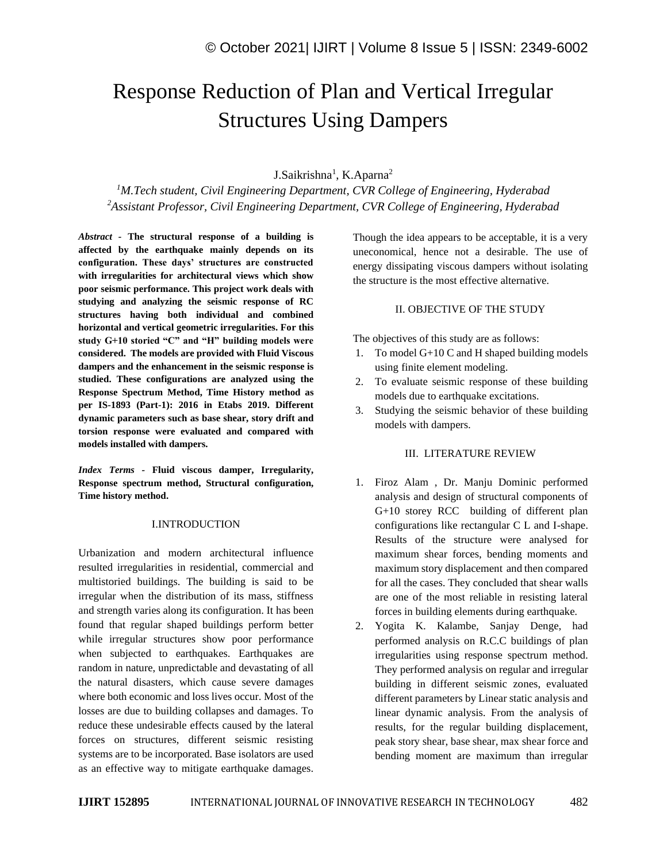# Response Reduction of Plan and Vertical Irregular Structures Using Dampers

## J.Saikrishna<sup>1</sup>, K.Aparna<sup>2</sup>

*<sup>1</sup>M.Tech student, Civil Engineering Department, CVR College of Engineering, Hyderabad <sup>2</sup>Assistant Professor, Civil Engineering Department, CVR College of Engineering, Hyderabad*

*Abstract -* **The structural response of a building is affected by the earthquake mainly depends on its configuration. These days' structures are constructed with irregularities for architectural views which show poor seismic performance. This project work deals with studying and analyzing the seismic response of RC structures having both individual and combined horizontal and vertical geometric irregularities. For this study G+10 storied "C" and "H" building models were considered. The models are provided with Fluid Viscous dampers and the enhancement in the seismic response is studied. These configurations are analyzed using the Response Spectrum Method, Time History method as per IS-1893 (Part-1): 2016 in Etabs 2019. Different dynamic parameters such as base shear, story drift and torsion response were evaluated and compared with models installed with dampers.**

*Index Terms -* **Fluid viscous damper, Irregularity, Response spectrum method, Structural configuration, Time history method.**

### I.INTRODUCTION

Urbanization and modern architectural influence resulted irregularities in residential, commercial and multistoried buildings. The building is said to be irregular when the distribution of its mass, stiffness and strength varies along its configuration. It has been found that regular shaped buildings perform better while irregular structures show poor performance when subjected to earthquakes. Earthquakes are random in nature, unpredictable and devastating of all the natural disasters, which cause severe damages where both economic and loss lives occur. Most of the losses are due to building collapses and damages. To reduce these undesirable effects caused by the lateral forces on structures, different seismic resisting systems are to be incorporated. Base isolators are used as an effective way to mitigate earthquake damages.

Though the idea appears to be acceptable, it is a very uneconomical, hence not a desirable. The use of energy dissipating viscous dampers without isolating the structure is the most effective alternative.

#### II. OBJECTIVE OF THE STUDY

The objectives of this study are as follows:

- 1. To model G+10 C and H shaped building models using finite element modeling.
- 2. To evaluate seismic response of these building models due to earthquake excitations.
- 3. Studying the seismic behavior of these building models with dampers.

#### III. LITERATURE REVIEW

- 1. Firoz Alam , Dr. Manju Dominic performed analysis and design of structural components of G+10 storey RCC building of different plan configurations like rectangular C L and I-shape. Results of the structure were analysed for maximum shear forces, bending moments and maximum story displacement and then compared for all the cases. They concluded that shear walls are one of the most reliable in resisting lateral forces in building elements during earthquake.
- 2. Yogita K. Kalambe, Sanjay Denge, had performed analysis on R.C.C buildings of plan irregularities using response spectrum method. They performed analysis on regular and irregular building in different seismic zones, evaluated different parameters by Linear static analysis and linear dynamic analysis. From the analysis of results, for the regular building displacement, peak story shear, base shear, max shear force and bending moment are maximum than irregular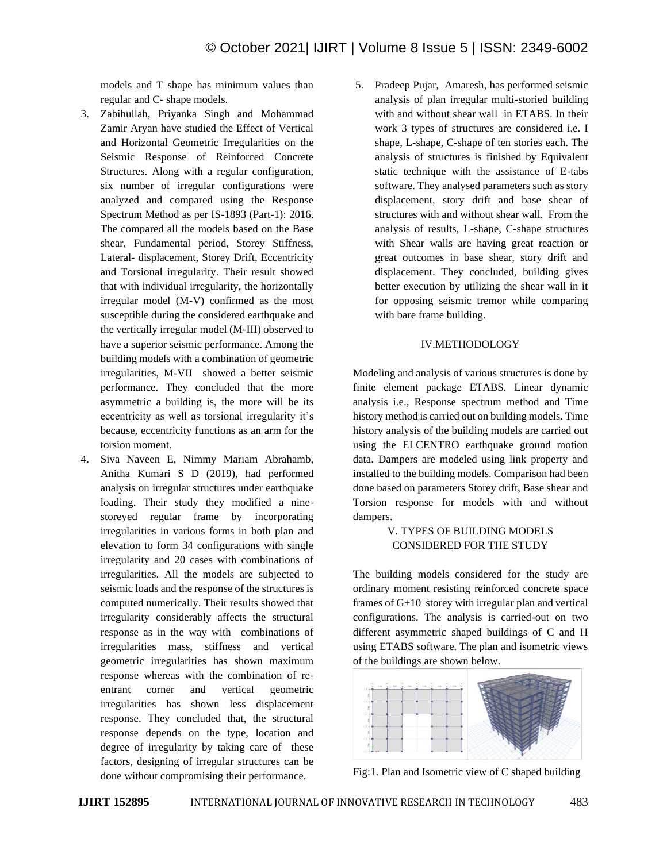models and T shape has minimum values than regular and C- shape models.

- 3. Zabihullah, Priyanka Singh and Mohammad Zamir Aryan have studied the Effect of Vertical and Horizontal Geometric Irregularities on the Seismic Response of Reinforced Concrete Structures. Along with a regular configuration, six number of irregular configurations were analyzed and compared using the Response Spectrum Method as per IS-1893 (Part-1): 2016. The compared all the models based on the Base shear, Fundamental period, Storey Stiffness, Lateral- displacement, Storey Drift, Eccentricity and Torsional irregularity. Their result showed that with individual irregularity, the horizontally irregular model (M-V) confirmed as the most susceptible during the considered earthquake and the vertically irregular model (M-III) observed to have a superior seismic performance. Among the building models with a combination of geometric irregularities, M-VII showed a better seismic performance. They concluded that the more asymmetric a building is, the more will be its eccentricity as well as torsional irregularity it's because, eccentricity functions as an arm for the torsion moment.
- 4. Siva Naveen E, Nimmy Mariam Abrahamb, Anitha Kumari S D (2019), had performed analysis on irregular structures under earthquake loading. Their study they modified a ninestoreyed regular frame by incorporating irregularities in various forms in both plan and elevation to form 34 configurations with single irregularity and 20 cases with combinations of irregularities. All the models are subjected to seismic loads and the response of the structures is computed numerically. Their results showed that irregularity considerably affects the structural response as in the way with combinations of irregularities mass, stiffness and vertical geometric irregularities has shown maximum response whereas with the combination of reentrant corner and vertical geometric irregularities has shown less displacement response. They concluded that, the structural response depends on the type, location and degree of irregularity by taking care of these factors, designing of irregular structures can be done without compromising their performance.

5. Pradeep Pujar, Amaresh, has performed seismic analysis of plan irregular multi-storied building with and without shear wall in ETABS. In their work 3 types of structures are considered i.e. I shape, L-shape, C-shape of ten stories each. The analysis of structures is finished by Equivalent static technique with the assistance of E-tabs software. They analysed parameters such as story displacement, story drift and base shear of structures with and without shear wall. From the analysis of results, L-shape, C-shape structures with Shear walls are having great reaction or great outcomes in base shear, story drift and displacement. They concluded, building gives better execution by utilizing the shear wall in it for opposing seismic tremor while comparing with bare frame building.

#### IV.METHODOLOGY

Modeling and analysis of various structures is done by finite element package ETABS. Linear dynamic analysis i.e., Response spectrum method and Time history method is carried out on building models. Time history analysis of the building models are carried out using the ELCENTRO earthquake ground motion data. Dampers are modeled using link property and installed to the building models. Comparison had been done based on parameters Storey drift, Base shear and Torsion response for models with and without dampers.

# V. TYPES OF BUILDING MODELS CONSIDERED FOR THE STUDY

The building models considered for the study are ordinary moment resisting reinforced concrete space frames of G+10 storey with irregular plan and vertical configurations. The analysis is carried-out on two different asymmetric shaped buildings of C and H using ETABS software. The plan and isometric views of the buildings are shown below.



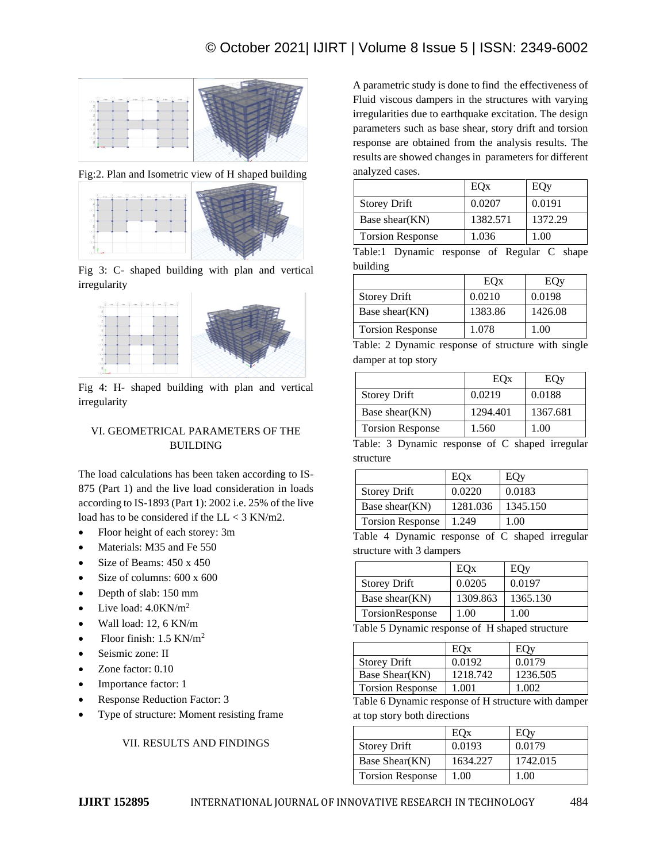

Fig:2. Plan and Isometric view of H shaped building



Fig 3: C- shaped building with plan and vertical irregularity



Fig 4: H- shaped building with plan and vertical irregularity

# VI. GEOMETRICAL PARAMETERS OF THE BUILDING

The load calculations has been taken according to IS-875 (Part 1) and the live load consideration in loads according to IS-1893 (Part 1): 2002 i.e. 25% of the live load has to be considered if the  $LL < 3$  KN/m2.

- Floor height of each storey: 3m
- Materials: M35 and Fe 550
- Size of Beams:  $450 \times 450$
- Size of columns:  $600 \times 600$
- Depth of slab: 150 mm
- Live load:  $4.0$ KN/m<sup>2</sup>
- Wall load: 12, 6 KN/m
- Floor finish:  $1.5$  KN/m<sup>2</sup>
- Seismic zone: II
- Zone factor:  $0.10$
- Importance factor: 1
- Response Reduction Factor: 3
- Type of structure: Moment resisting frame

VII. RESULTS AND FINDINGS

A parametric study is done to find the effectiveness of Fluid viscous dampers in the structures with varying irregularities due to earthquake excitation. The design parameters such as base shear, story drift and torsion response are obtained from the analysis results. The results are showed changes in parameters for different analyzed cases.

|                         | EOx      | EOy     |
|-------------------------|----------|---------|
| <b>Storey Drift</b>     | 0.0207   | 0.0191  |
| Base shear(KN)          | 1382.571 | 1372.29 |
| <b>Torsion Response</b> | 1.036    | 1.00    |

Table:1 Dynamic response of Regular C shape building

|                         | EOx     | EOy     |
|-------------------------|---------|---------|
| <b>Storey Drift</b>     | 0.0210  | 0.0198  |
| Base shear(KN)          | 1383.86 | 1426.08 |
| <b>Torsion Response</b> | 1.078   | 1.00    |

Table: 2 Dynamic response of structure with single damper at top story

|                         | EOx      | EOv      |
|-------------------------|----------|----------|
| <b>Storey Drift</b>     | 0.0219   | 0.0188   |
| Base shear(KN)          | 1294.401 | 1367.681 |
| <b>Torsion Response</b> | 1.560    | 1.00     |

Table: 3 Dynamic response of C shaped irregular structure

|                         | EOx      | EOv      |
|-------------------------|----------|----------|
| <b>Storey Drift</b>     | 0.0220   | 0.0183   |
| Base shear(KN)          | 1281.036 | 1345.150 |
| <b>Torsion Response</b> | 1.249    | 1.00     |

Table 4 Dynamic response of C shaped irregular structure with 3 dampers

|                     | EOx      | EOy      |
|---------------------|----------|----------|
| <b>Storey Drift</b> | 0.0205   | 0.0197   |
| Base shear(KN)      | 1309.863 | 1365.130 |
| TorsionResponse     | 1.00     | 1.00     |
|                     |          |          |

Table 5 Dynamic response of H shaped structure

| <b>Storey Drift</b>     | 0.0192   | 0.0179   |
|-------------------------|----------|----------|
| Base Shear(KN)          | 1218.742 | 1236.505 |
| <b>Torsion Response</b> | - 001    | നറ       |

Table 6 Dynamic response of H structure with damper at top story both directions

|                         | EOx      |          |
|-------------------------|----------|----------|
| <b>Storey Drift</b>     | 0.0193   | 0.0179   |
| Base Shear(KN)          | 1634.227 | 1742.015 |
| <b>Torsion Response</b> | 1.00     | 1.00     |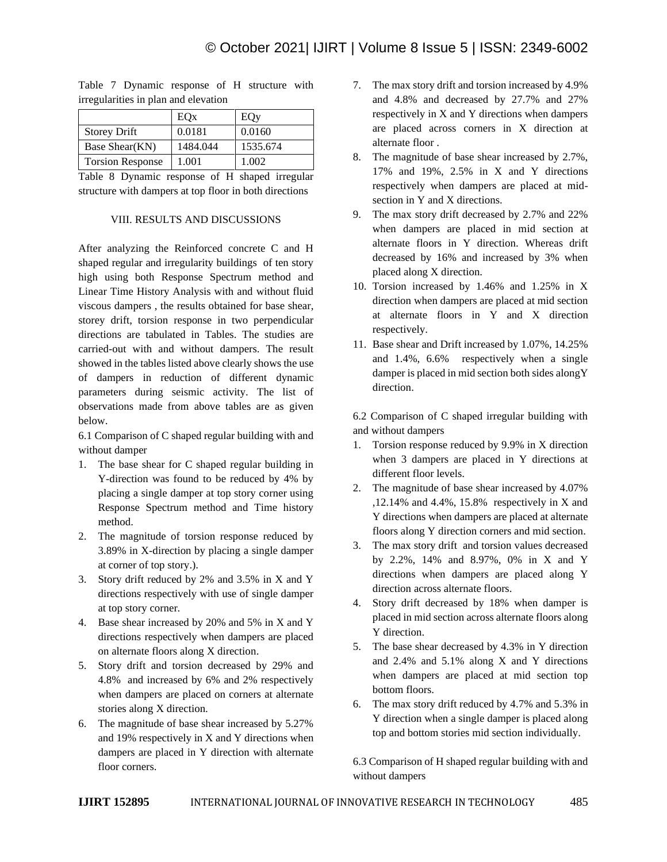|                         | EOx      | EOy      |
|-------------------------|----------|----------|
| <b>Storey Drift</b>     | 0.0181   | 0.0160   |
| Base Shear(KN)          | 1484.044 | 1535.674 |
| <b>Torsion Response</b> | 1.001    | 1.002    |

Table 7 Dynamic response of H structure with irregularities in plan and elevation

Table 8 Dynamic response of H shaped irregular structure with dampers at top floor in both directions

#### VIII. RESULTS AND DISCUSSIONS

After analyzing the Reinforced concrete C and H shaped regular and irregularity buildings of ten story high using both Response Spectrum method and Linear Time History Analysis with and without fluid viscous dampers , the results obtained for base shear, storey drift, torsion response in two perpendicular directions are tabulated in Tables. The studies are carried-out with and without dampers. The result showed in the tables listed above clearly shows the use of dampers in reduction of different dynamic parameters during seismic activity. The list of observations made from above tables are as given below.

6.1 Comparison of C shaped regular building with and without damper

- 1. The base shear for C shaped regular building in Y-direction was found to be reduced by 4% by placing a single damper at top story corner using Response Spectrum method and Time history method.
- 2. The magnitude of torsion response reduced by 3.89% in X-direction by placing a single damper at corner of top story.).
- 3. Story drift reduced by 2% and 3.5% in X and Y directions respectively with use of single damper at top story corner.
- 4. Base shear increased by 20% and 5% in X and Y directions respectively when dampers are placed on alternate floors along X direction.
- 5. Story drift and torsion decreased by 29% and 4.8% and increased by 6% and 2% respectively when dampers are placed on corners at alternate stories along X direction.
- 6. The magnitude of base shear increased by 5.27% and 19% respectively in X and Y directions when dampers are placed in Y direction with alternate floor corners.
- 7. The max story drift and torsion increased by 4.9% and 4.8% and decreased by 27.7% and 27% respectively in X and Y directions when dampers are placed across corners in X direction at alternate floor .
- 8. The magnitude of base shear increased by 2.7%, 17% and 19%, 2.5% in X and Y directions respectively when dampers are placed at midsection in Y and X directions.
- 9. The max story drift decreased by 2.7% and 22% when dampers are placed in mid section at alternate floors in Y direction. Whereas drift decreased by 16% and increased by 3% when placed along X direction.
- 10. Torsion increased by 1.46% and 1.25% in X direction when dampers are placed at mid section at alternate floors in Y and X direction respectively.
- 11. Base shear and Drift increased by 1.07%, 14.25% and 1.4%, 6.6% respectively when a single damper is placed in mid section both sides alongY direction.

6.2 Comparison of C shaped irregular building with and without dampers

- 1. Torsion response reduced by 9.9% in X direction when 3 dampers are placed in Y directions at different floor levels.
- 2. The magnitude of base shear increased by 4.07% ,12.14% and 4.4%, 15.8% respectively in X and Y directions when dampers are placed at alternate floors along Y direction corners and mid section.
- 3. The max story drift and torsion values decreased by 2.2%, 14% and 8.97%, 0% in X and Y directions when dampers are placed along Y direction across alternate floors.
- 4. Story drift decreased by 18% when damper is placed in mid section across alternate floors along Y direction.
- 5. The base shear decreased by 4.3% in Y direction and 2.4% and 5.1% along X and Y directions when dampers are placed at mid section top bottom floors.
- 6. The max story drift reduced by 4.7% and 5.3% in Y direction when a single damper is placed along top and bottom stories mid section individually.

6.3 Comparison of H shaped regular building with and without dampers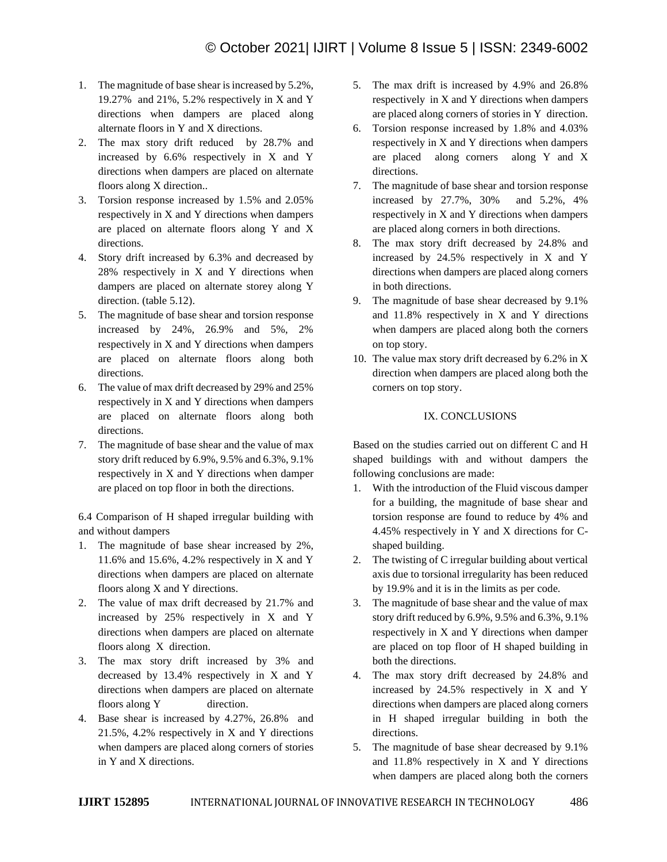- 1. The magnitude of base shear is increased by 5.2%, 19.27% and 21%, 5.2% respectively in X and Y directions when dampers are placed along alternate floors in Y and X directions.
- 2. The max story drift reduced by 28.7% and increased by 6.6% respectively in X and Y directions when dampers are placed on alternate floors along X direction..
- 3. Torsion response increased by 1.5% and 2.05% respectively in X and Y directions when dampers are placed on alternate floors along Y and X directions.
- 4. Story drift increased by 6.3% and decreased by 28% respectively in X and Y directions when dampers are placed on alternate storey along Y direction. (table 5.12).
- 5. The magnitude of base shear and torsion response increased by 24%, 26.9% and 5%, 2% respectively in X and Y directions when dampers are placed on alternate floors along both directions.
- 6. The value of max drift decreased by 29% and 25% respectively in X and Y directions when dampers are placed on alternate floors along both directions.
- 7. The magnitude of base shear and the value of max story drift reduced by 6.9%, 9.5% and 6.3%, 9.1% respectively in X and Y directions when damper are placed on top floor in both the directions.

6.4 Comparison of H shaped irregular building with and without dampers

- 1. The magnitude of base shear increased by 2%, 11.6% and 15.6%, 4.2% respectively in X and Y directions when dampers are placed on alternate floors along X and Y directions.
- 2. The value of max drift decreased by 21.7% and increased by 25% respectively in X and Y directions when dampers are placed on alternate floors along X direction.
- 3. The max story drift increased by 3% and decreased by 13.4% respectively in X and Y directions when dampers are placed on alternate floors along Y direction.
- 4. Base shear is increased by 4.27%, 26.8% and 21.5%, 4.2% respectively in X and Y directions when dampers are placed along corners of stories in Y and X directions.
- 5. The max drift is increased by 4.9% and 26.8% respectively in X and Y directions when dampers are placed along corners of stories in Y direction.
- 6. Torsion response increased by 1.8% and 4.03% respectively in X and Y directions when dampers are placed along corners along Y and X directions.
- 7. The magnitude of base shear and torsion response increased by 27.7%, 30% and 5.2%, 4% respectively in X and Y directions when dampers are placed along corners in both directions.
- 8. The max story drift decreased by 24.8% and increased by 24.5% respectively in X and Y directions when dampers are placed along corners in both directions.
- 9. The magnitude of base shear decreased by 9.1% and 11.8% respectively in X and Y directions when dampers are placed along both the corners on top story.
- 10. The value max story drift decreased by 6.2% in X direction when dampers are placed along both the corners on top story.

#### IX. CONCLUSIONS

Based on the studies carried out on different C and H shaped buildings with and without dampers the following conclusions are made:

- 1. With the introduction of the Fluid viscous damper for a building, the magnitude of base shear and torsion response are found to reduce by 4% and 4.45% respectively in Y and X directions for Cshaped building.
- 2. The twisting of C irregular building about vertical axis due to torsional irregularity has been reduced by 19.9% and it is in the limits as per code.
- 3. The magnitude of base shear and the value of max story drift reduced by 6.9%, 9.5% and 6.3%, 9.1% respectively in X and Y directions when damper are placed on top floor of H shaped building in both the directions.
- 4. The max story drift decreased by 24.8% and increased by 24.5% respectively in X and Y directions when dampers are placed along corners in H shaped irregular building in both the directions.
- 5. The magnitude of base shear decreased by 9.1% and 11.8% respectively in X and Y directions when dampers are placed along both the corners